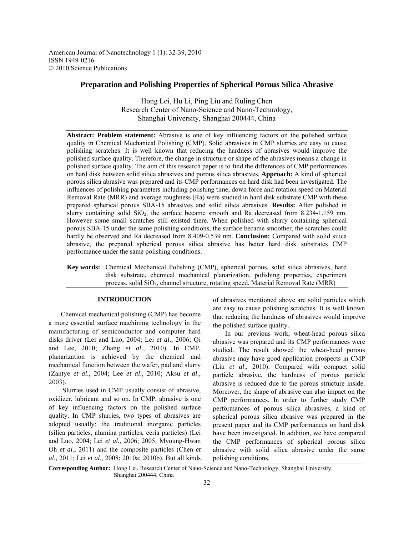American Journal of Nanotechnology 1 (1): 32-39, 2010 ISSN 1949-0216 © 2010 Science Publications

# **Preparation and Polishing Properties of Spherical Porous Silica Abrasive**

Hong Lei, Hu Li, Ping Liu and Ruling Chen Research Center of Nano-Science and Nano-Technology, Shanghai University, Shanghai 200444, China

**Abstract: Problem statement:** Abrasive is one of key influencing factors on the polished surface quality in Chemical Mechanical Polishing (CMP). Solid abrasives in CMP slurries are easy to cause polishing scratches. It is well known that reducing the hardness of abrasives would improve the polished surface quality. Therefore, the change in structure or shape of the abrasives means a change in polished surface quality. The aim of this research paper is to find the differences of CMP performances on hard disk between solid silica abrasives and porous silica abrasives. **Approach:** A kind of spherical porous silica abrasive was prepared and its CMP performances on hard disk had been investigated. The influences of polishing parameters including polishing time, down force and rotation speed on Material Removal Rate (MRR) and average roughness (Ra) were studied in hard disk substrate CMP with these prepared spherical porous SBA-15 abrasives and solid silica abrasives. **Results:** After polished in slurry containing solid  $SiO<sub>2</sub>$ , the surface became smooth and Ra decreased from 8.234-1.159 nm. However some small scratches still existed there. When polished with slurry containing spherical porous SBA-15 under the same polishing conditions, the surface became smoother, the scratches could hardly be observed and Ra decreased from 8.409-0.539 nm. **Conclusion:** Compared with solid silica abrasive, the prepared spherical porous silica abrasive has better hard disk substrates CMP performance under the same polishing conditions.

**Key words:** Chemical Mechanical Polishing (CMP), spherical porous, solid silica abrasives, hard disk substrate, chemical mechanical planarization, polishing properties, experiment process, solid  $SiO<sub>2</sub>$ , channel structure, rotating speed, Material Removal Rate (MRR)

## **INTRODUCTION**

 Chemical mechanical polishing (CMP) has become a more essential surface machining technology in the manufacturing of semiconductor and computer hard disks driver (Lei and Luo, 2004; Lei *et al*., 2006; Qi and Lee, 2010; Zhang *et al*., 2010). In CMP, planarization is achieved by the chemical and mechanical function between the wafer, pad and slurry (Zantye *et al*., 2004; Lee *et al*., 2010; Aksu *et al*., 2003).

 Slurries used in CMP usually consist of abrasive, oxidizer, lubricant and so on. In CMP, abrasive is one of key influencing factors on the polished surface quality. In CMP slurries, two types of abrasives are adopted usually: the traditional inorganic particles (silica particles, alumina particles, ceria particles) (Lei and Luo, 2004; Lei *et al*., 2006; 2005; Myoung-Hwan Oh *et al*., 2011) and the composite particles (Chen *et al*., 2011; Lei *et al*., 2008; 2010a; 2010b). But all kinds of abrasives mentioned above are solid particles which are easy to cause polishing scratches. It is well known that reducing the hardness of abrasives would improve the polished surface quality.

 In our previous work, wheat-head porous silica abrasive was prepared and its CMP performances were studied. The result showed the wheat-head porous abrasive may have good application prospects in CMP (Liu *et al*., 2010). Compared with compact solid particle abrasive, the hardness of porous particle abrasive is reduced due to the porous structure inside. Moreover, the shape of abrasive can also impact on the CMP performances. In order to further study CMP performances of porous silica abrasives, a kind of spherical porous silica abrasive was prepared in the present paper and its CMP performances on hard disk have been investigated. In addition, we have compared the CMP performances of spherical porous silica abrasive with solid silica abrasive under the same polishing conditions.

**Corresponding Author:** Hong Lei, Research Center of Nano-Science and Nano-Technology, Shanghai University, Shanghai 200444, China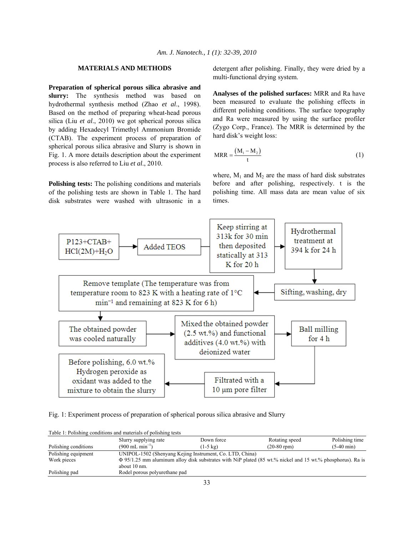# **MATERIALS AND METHODS**

**Preparation of spherical porous silica abrasive and slurry:** The synthesis method was based on hydrothermal synthesis method (Zhao *et al*., 1998). Based on the method of preparing wheat-head porous silica (Liu *et al*., 2010) we got spherical porous silica by adding Hexadecyl Trimethyl Ammonium Bromide (CTAB). The experiment process of preparation of spherical porous silica abrasive and Slurry is shown in Fig. 1. A more details description about the experiment process is also referred to Liu *et al*., 2010.

**Polishing tests:** The polishing conditions and materials of the polishing tests are shown in Table 1. The hard disk substrates were washed with ultrasonic in a detergent after polishing. Finally, they were dried by a multi-functional drying system.

**Analyses of the polished surfaces:** MRR and Ra have been measured to evaluate the polishing effects in different polishing conditions. The surface topography and Ra were measured by using the surface profiler (Zygo Corp., France). The MRR is determined by the hard disk's weight loss:

$$
MRR = \frac{(M_1 - M_2)}{t}
$$
 (1)

where,  $M_1$  and  $M_2$  are the mass of hard disk substrates before and after polishing, respectively. t is the polishing time. All mass data are mean value of six times.



Fig. 1: Experiment process of preparation of spherical porous silica abrasive and Slurry

| Tuoto 1, I onoming conditions and materials of ponsimig tosts |                                                                                                                 |                    |                  |                      |
|---------------------------------------------------------------|-----------------------------------------------------------------------------------------------------------------|--------------------|------------------|----------------------|
|                                                               | Slurry supplying rate                                                                                           | Down force         | Rotating speed   | Polishing time       |
| Polishing conditions                                          | $(900 \text{ mL min}^{-1})$                                                                                     | $(1-5 \text{ kg})$ | $(20-80$ rpm $)$ | $(5-40 \text{ min})$ |
| Polishing equipment                                           | UNIPOL-1502 (Shenyang Kejing Instrument, Co. LTD, China)                                                        |                    |                  |                      |
| Work pieces                                                   | $\Phi$ 95/1.25 mm aluminum alloy disk substrates with NiP plated (85 wt.% nickel and 15 wt.% phosphorus). Ra is |                    |                  |                      |
|                                                               | about 10 nm.                                                                                                    |                    |                  |                      |
| Polishing pad                                                 | Rodel porous polyurethane pad                                                                                   |                    |                  |                      |
|                                                               |                                                                                                                 |                    |                  |                      |

Table 1: Polishing conditions and materials of polishing tests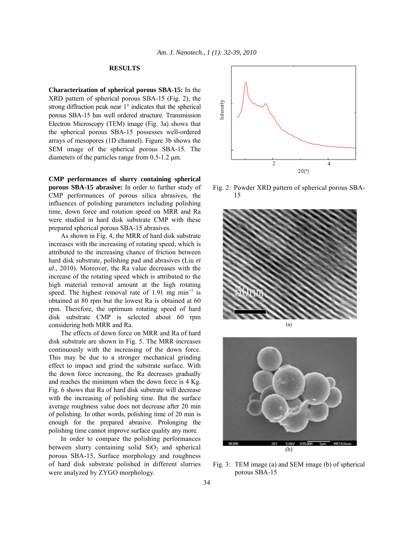## **RESULTS**

**Characterization of spherical porous SBA-15:** In the XRD pattern of spherical porous SBA-15 (Fig. 2), the strong diffraction peak near 1° indicates that the spherical porous SBA-15 has well ordered structure. Transmission Electron Microscopy (TEM) image (Fig. 3a) shows that the spherical porous SBA-15 possesses well-ordered arrays of mesopores (1D channel). Figure 3b shows the SEM image of the spherical porous SBA-15. The diameters of the particles range from 0.5-1.2 μm.

**CMP performances of slurry containing spherical porous SBA-15 abrasive:** In order to further study of CMP performances of porous silica abrasives, the influences of polishing parameters including polishing time, down force and rotation speed on MRR and Ra were studied in hard disk substrate CMP with these prepared spherical porous SBA-15 abrasives.

 As shown in Fig. 4, the MRR of hard disk substrate increases with the increasing of rotating speed, which is attributed to the increasing chance of friction between hard disk substrate, polishing pad and abrasives (Liu *et al*., 2010). Moreover, the Ra value decreases with the increase of the rotating speed which is attributed to the high material removal amount at the high rotating speed. The highest removal rate of 1.91 mg min<sup>-1</sup> is obtained at 80 rpm but the lowest Ra is obtained at 60 rpm. Therefore, the optimum rotating speed of hard disk substrate CMP is selected about 60 rpm considering both MRR and Ra.

 The effects of down force on MRR and Ra of hard disk substrate are shown in Fig. 5. The MRR increases continuously with the increasing of the down force. This may be due to a stronger mechanical grinding effect to impact and grind the substrate surface. With the down force increasing, the Ra decreases gradually and reaches the minimum when the down force is 4 Kg. Fig. 6 shows that Ra of hard disk substrate will decrease with the increasing of polishing time. But the surface average roughness value does not decrease after 20 min of polishing. In other words, polishing time of 20 min is enough for the prepared abrasive. Prolonging the polishing time cannot improve surface quality any more.

 In order to compare the polishing performances between slurry containing solid  $SiO<sub>2</sub>$  and spherical porous SBA-15, Surface morphology and roughness of hard disk substrate polished in different slurries were analyzed by ZYGO morphology.



Fig. 2: Powder XRD pattern of spherical porous SBA-15





Fig. 3: TEM image (a) and SEM image (b) of spherical porous SBA-15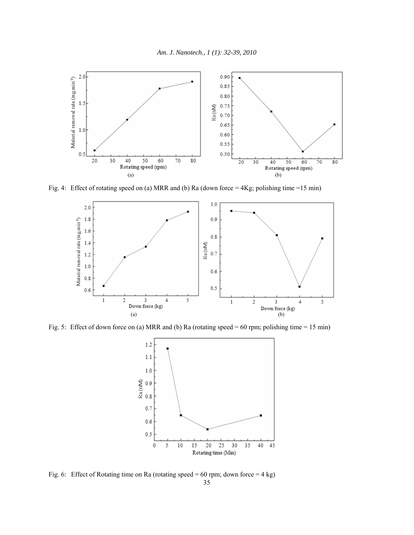

Fig. 4: Effect of rotating speed on (a) MRR and (b) Ra (down force = 4Kg; polishing time =15 min)



Fig. 5: Effect of down force on (a) MRR and (b) Ra (rotating speed = 60 rpm; polishing time = 15 min)



35 Fig. 6: Effect of Rotating time on Ra (rotating speed = 60 rpm; down force =  $4 \text{ kg}$ )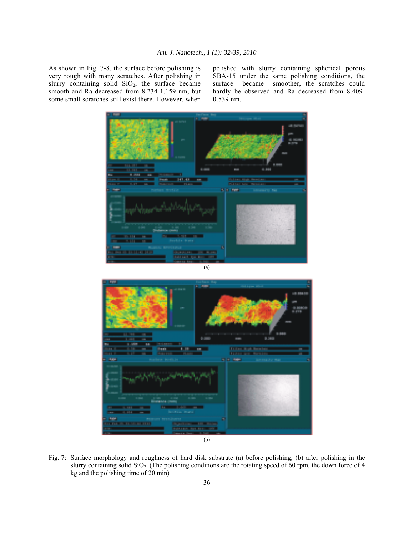As shown in Fig. 7-8, the surface before polishing is very rough with many scratches. After polishing in slurry containing solid  $SiO<sub>2</sub>$ , the surface became smooth and Ra decreased from 8.234-1.159 nm, but some small scratches still exist there. However, when

polished with slurry containing spherical porous SBA-15 under the same polishing conditions, the surface became smoother, the scratches could hardly be observed and Ra decreased from 8.409- 0.539 nm.





Fig. 7: Surface morphology and roughness of hard disk substrate (a) before polishing, (b) after polishing in the slurry containing solid  $SiO<sub>2</sub>$ . (The polishing conditions are the rotating speed of 60 rpm, the down force of 4 kg and the polishing time of 20 min)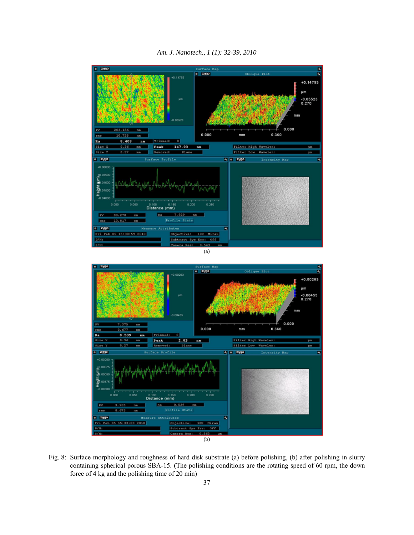

*Am. J. Nanotech., 1 (1): 32-39, 2010* 

Fig. 8: Surface morphology and roughness of hard disk substrate (a) before polishing, (b) after polishing in slurry containing spherical porous SBA-15. (The polishing conditions are the rotating speed of 60 rpm, the down force of 4 kg and the polishing time of 20 min)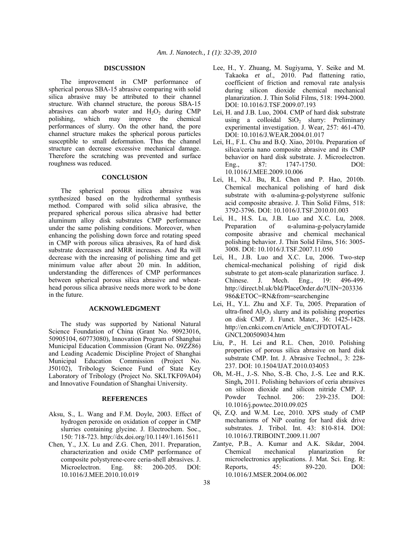#### **DISCUSSION**

 The improvement in CMP performance of spherical porous SBA-15 abrasive comparing with solid silica abrasive may be attributed to their channel structure. With channel structure, the porous SBA-15 abrasives can absorb water and  $H_2O_2$  during CMP polishing, which may improve the chemical polishing, which may improve the chemical performances of slurry. On the other hand, the pore channel structure makes the spherical porous particles susceptible to small deformation. Thus the channel structure can decrease excessive mechanical damage. Therefore the scratching was prevented and surface roughness was reduced.

## **CONCLUSION**

 The spherical porous silica abrasive was synthesized based on the hydrothermal synthesis method. Compared with solid silica abrasive, the prepared spherical porous silica abrasive had better aluminum alloy disk substrates CMP performance under the same polishing conditions. Moreover, when enhancing the polishing down force and rotating speed in CMP with porous silica abrasives, Ra of hard disk substrate decreases and MRR increases. And Ra will decrease with the increasing of polishing time and get minimum value after about 20 min. In addition, understanding the differences of CMP performances between spherical porous silica abrasive and wheathead porous silica abrasive needs more work to be done in the future.

## **ACKNOWLEDGMENT**

 The study was supported by National Natural Science Foundation of China (Grant No. 90923016, 50905104, 60773080), Innovation Program of Shanghai Municipal Education Commission (Grant No. 09ZZ86) and Leading Academic Discipline Project of Shanghai Municipal Education Commission (Project No. J50102), Tribology Science Fund of State Key Laboratory of Tribology (Project No. SKLTKF09A04) and Innovative Foundation of Shanghai University.

## **REFERENCES**

- Aksu, S., L. Wang and F.M. Doyle, 2003. Effect of hydrogen peroxide on oxidation of copper in CMP slurries containing glycine. J. Electrochem. Soc., 150: 718-723. http://dx.doi.org/10.1149/1.1615611
- Chen, Y., J.X. Lu and Z.G. Chen, 2011. Preparation, characterization and oxide CMP performance of composite polystyrene-core ceria-shell abrasives. J. Microelectron. Eng. 88: 200-205. DOI: 10.1016/J.MEE.2010.10.019
- Lee, H., Y. Zhuang, M. Sugiyama, Y. Seike and M. Takaoka *et al*., 2010. Pad flattening ratio, coefficient of friction and removal rate analysis during silicon dioxide chemical mechanical planarization. J. Thin Solid Films, 518: 1994-2000. DOI: 10.1016/J.TSF.2009.07.193
- Lei, H. and J.B. Luo, 2004. CMP of hard disk substrate using a colloidal  $SiO<sub>2</sub>$  slurry: Preliminary experimental investigation. J. Wear, 257: 461-470. DOI: 10.1016/J.WEAR.2004.01.017
- Lei, H., F.L. Chu and B.Q. Xiao, 2010a. Preparation of silica/ceria nano composite abrasive and its CMP behavior on hard disk substrate. J. Microelectron. Eng., 87: 1747-1750. DOI: 10.1016/J.MEE.2009.10.006
- Lei, H., N.J. Bu, R.L Chen and P. Hao, 2010b. Chemical mechanical polishing of hard disk substrate with  $\alpha$ -alumina-g-polystyrene sulfonic acid composite abrasive. J. Thin Solid Films, 518: 3792-3796. DOI: 10.1016/J.TSF.2010.01.003
- Lei, H., H.S. Lu, J.B. Luo and X.C. Lu, 2008. Preparation of α-alumina-g-polyacrylamide composite abrasive and chemical mechanical polishing behavior. J. Thin Solid Films, 516: 3005- 3008. DOI: 10.1016/J.TSF.2007.11.050
- Lei, H., J.B. Luo and X.C. Lu, 2006. Two-step chemical-mechanical polishing of rigid disk substrate to get atom-scale planarization surface. J. Chinese. J. Mech. Eng., 19: 496-499. http://direct.bl.uk/bld/PlaceOrder.do?UIN=203336 986&ETOC=RN&from=searchengine
- Lei, H., Y.L. Zhu and X.F. Tu, 2005. Preparation of ultra-fined  $Al_2O_3$  slurry and its polishing properties on disk CMP. J. Funct. Mater., 36: 1425-1428. http://en.cnki.com.cn/Article\_en/CJFDTOTAL-GNCL200509034.htm
- Liu, P., H. Lei and R.L. Chen, 2010. Polishing properties of porous silica abrasive on hard disk substrate CMP. Int. J. Abrasive Technol., 3: 228- 237. DOI: 10.1504/IJAT.2010.034053
- Oh, M.-H., J.-S. Nho, S.-B. Cho, J.-S. Lee and R.K. Singh**,** 2011. Polishing behaviors of ceria abrasives on silicon dioxide and silicon nitride CMP. J. Powder Technol. 206: 239-235. DOI: 10.1016/j.powtec.2010.09.025
- Qi, Z.Q. and W.M. Lee, 2010. XPS study of CMP mechanisms of NiP coating for hard disk drive substrates. J. Tribol. Int. 43: 810-814. DOI: 10.1016/J.TRIBOINT.2009.11.007
- Zantye, P.B., A. Kumar and A.K. Sikdar, 2004. Chemical mechanical planarization for microelectronics applications. J. Mat. Sci. Eng. R: Reports, 45: 89-220. DOI: 10.1016/J.MSER.2004.06.002